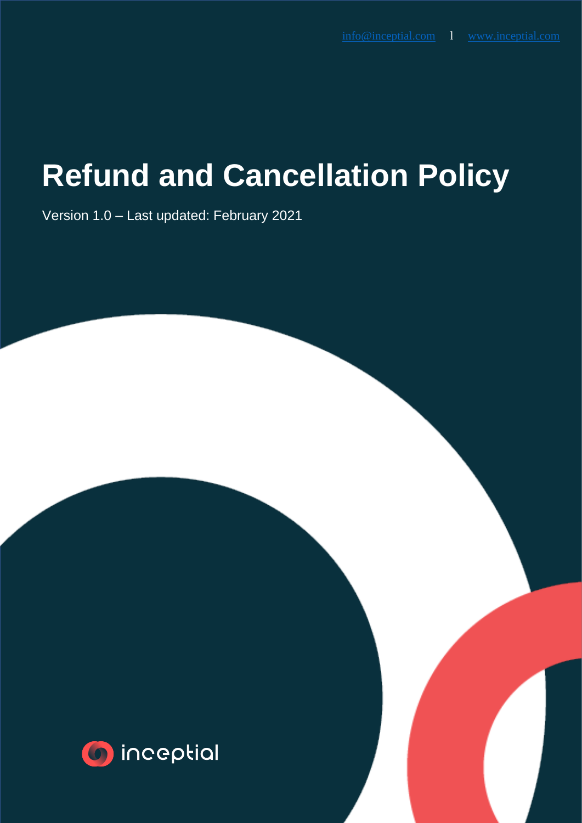## **Refund and Cancellation Policy**

Version 1.0 – Last updated: February 2021

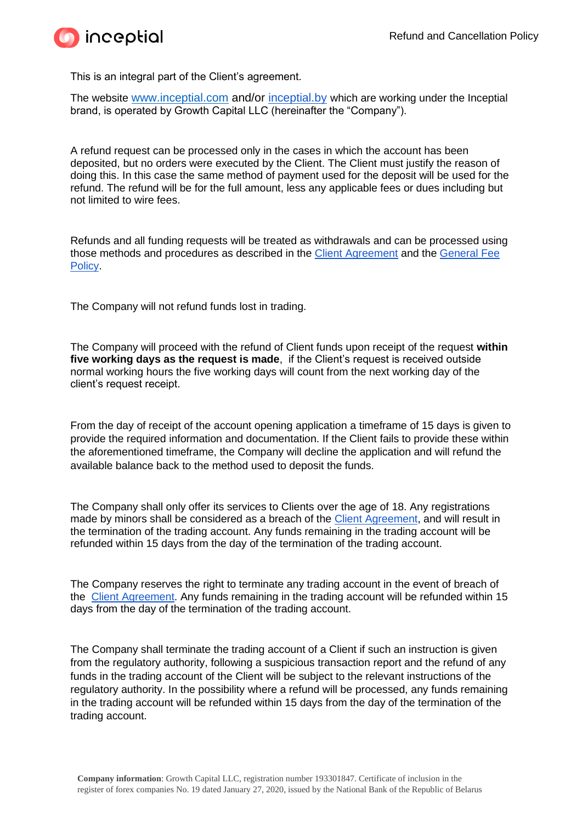

This is an integral part of the Client's agreement.

The website [www.inceptial.com](http://www.inceptial.com/) and/or [inceptial.by](http://inceptial.by/) which are working under the Inceptial brand, is operated by Growth Capital LLC (hereinafter the "Company").

A refund request can be processed only in the cases in which the account has been deposited, but no orders were executed by the Client. The Client must justify the reason of doing this. In this case the same method of payment used for the deposit will be used for the refund. The refund will be for the full amount, less any applicable fees or dues including but not limited to wire fees.

Refunds and all funding requests will be treated as withdrawals and can be processed using those methods and procedures as described in the [Client Agreement](https://inceptial.com/docs/client_agreement_feb_2021.pdf?v=1631260545) and the [General Fee](https://inceptial.com/docs/General_Fees_Inceptial_feb.pdf?v=1631260520)  [Policy.](https://inceptial.com/docs/General_Fees_Inceptial_feb.pdf?v=1631260520)

The Company will not refund funds lost in trading.

The Company will proceed with the refund of Client funds upon receipt of the request **within five working days as the request is made**, if the Client's request is received outside normal working hours the five working days will count from the next working day of the client's request receipt.

From the day of receipt of the account opening application a timeframe of 15 days is given to provide the required information and documentation. If the Client fails to provide these within the aforementioned timeframe, the Company will decline the application and will refund the available balance back to the method used to deposit the funds.

The Company shall only offer its services to Clients over the age of 18. Any registrations made by minors shall be considered as a breach of the [Client Agreement,](https://inceptial.com/docs/client_agreement_feb_2021.pdf?v=1631273239) and will result in the termination of the trading account. Any funds remaining in the trading account will be refunded within 15 days from the day of the termination of the trading account.

The Company reserves the right to terminate any trading account in the event of breach of the [Client Agreement.](https://inceptial.com/docs/client_agreement_feb_2021.pdf?v=1631273239) Any funds remaining in the trading account will be refunded within 15 days from the day of the termination of the trading account.

The Company shall terminate the trading account of a Client if such an instruction is given from the regulatory authority, following a suspicious transaction report and the refund of any funds in the trading account of the Client will be subject to the relevant instructions of the regulatory authority. In the possibility where a refund will be processed, any funds remaining in the trading account will be refunded within 15 days from the day of the termination of the trading account.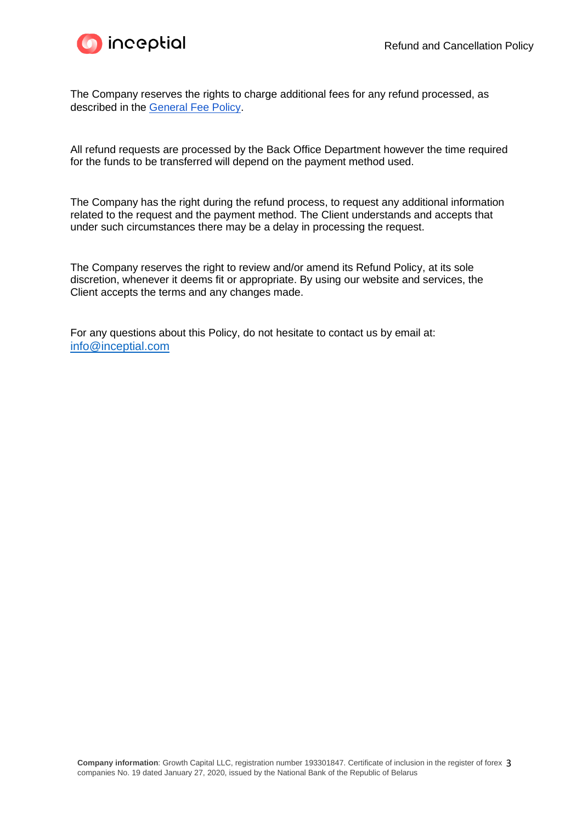



The Company reserves the rights to charge additional fees for any refund processed, as described in the [General Fee Policy.](https://inceptial.com/docs/General_Fees_Inceptial_feb.pdf?v=1631084363)

All refund requests are processed by the Back Office Department however the time required for the funds to be transferred will depend on the payment method used.

The Company has the right during the refund process, to request any additional information related to the request and the payment method. The Client understands and accepts that under such circumstances there may be a delay in processing the request.

The Company reserves the right to review and/or amend its Refund Policy, at its sole discretion, whenever it deems fit or appropriate. By using our website and services, the Client accepts the terms and any changes made.

For any questions about this Policy, do not hesitate to contact us by email at: [info@inceptial.com](mailto:info@inceptial.com)